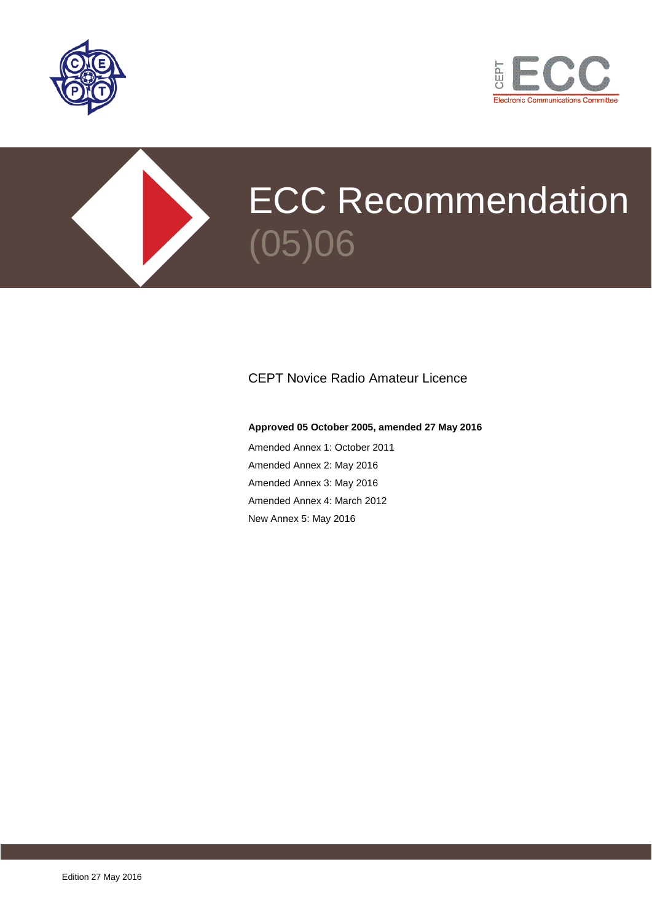





# CEPT Novice Radio Amateur Licence

#### **Approved 05 October 2005, amended 27 May 2016**

Amended Annex 1: October 2011 Amended Annex 2: May 2016 Amended Annex 3: May 2016 Amended Annex 4: March 2012 New Annex 5: May 2016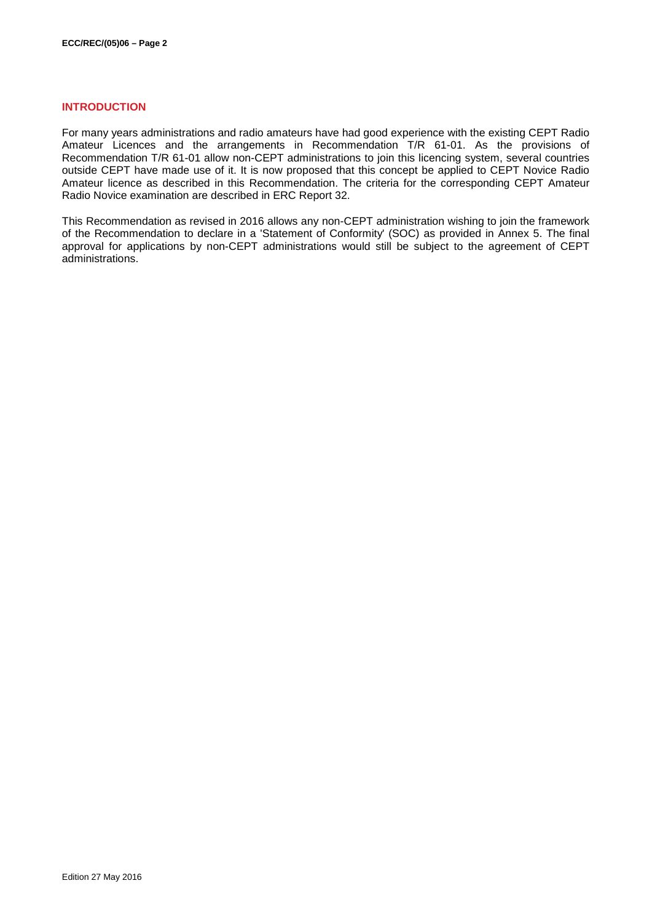### **INTRODUCTION**

For many years administrations and radio amateurs have had good experience with the existing CEPT Radio Amateur Licences and the arrangements in Recommendation T/R 61-01. As the provisions of Recommendation T/R 61-01 allow non-CEPT administrations to join this licencing system, several countries outside CEPT have made use of it. It is now proposed that this concept be applied to CEPT Novice Radio Amateur licence as described in this Recommendation. The criteria for the corresponding CEPT Amateur Radio Novice examination are described in ERC Report 32.

This Recommendation as revised in 2016 allows any non-CEPT administration wishing to join the framework of the Recommendation to declare in a 'Statement of Conformity' (SOC) as provided in Annex 5. The final approval for applications by non-CEPT administrations would still be subject to the agreement of CEPT administrations.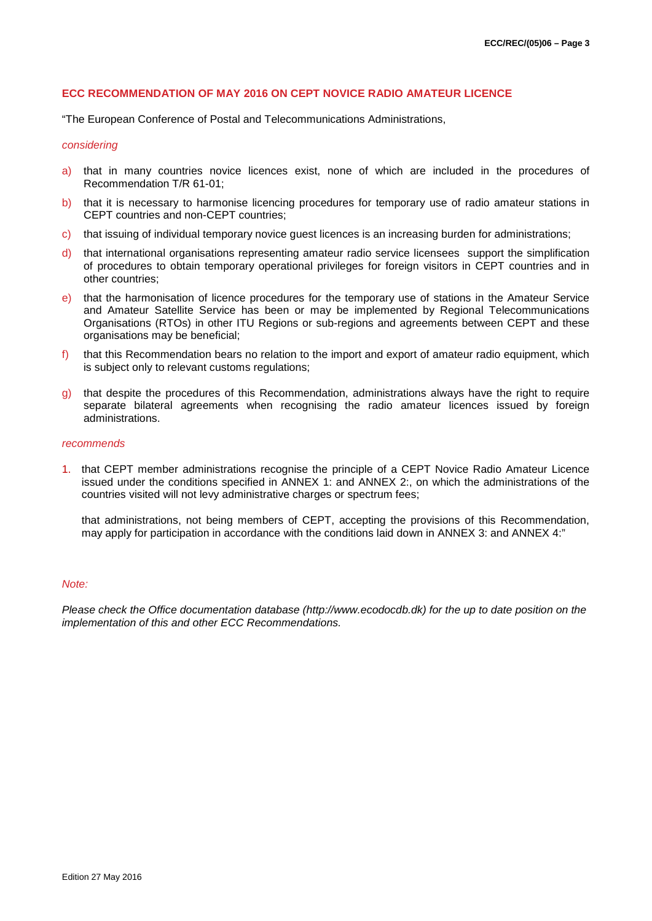#### **ECC RECOMMENDATION OF MAY 2016 ON CEPT NOVICE RADIO AMATEUR LICENCE**

"The European Conference of Postal and Telecommunications Administrations,

#### *considering*

- a) that in many countries novice licences exist, none of which are included in the procedures of Recommendation T/R 61-01;
- b) that it is necessary to harmonise licencing procedures for temporary use of radio amateur stations in CEPT countries and non-CEPT countries;
- c) that issuing of individual temporary novice guest licences is an increasing burden for administrations;
- d) that international organisations representing amateur radio service licensees support the simplification of procedures to obtain temporary operational privileges for foreign visitors in CEPT countries and in other countries;
- e) that the harmonisation of licence procedures for the temporary use of stations in the Amateur Service and Amateur Satellite Service has been or may be implemented by Regional Telecommunications Organisations (RTOs) in other ITU Regions or sub-regions and agreements between CEPT and these organisations may be beneficial;
- f) that this Recommendation bears no relation to the import and export of amateur radio equipment, which is subject only to relevant customs regulations;
- g) that despite the procedures of this Recommendation, administrations always have the right to require separate bilateral agreements when recognising the radio amateur licences issued by foreign administrations.

#### *recommends*

1. that CEPT member administrations recognise the principle of a CEPT Novice Radio Amateur Licence issued under the conditions specified in [ANNEX 1:](#page-3-0) and [ANNEX 2:,](#page-4-0) on which the administrations of the countries visited will not levy administrative charges or spectrum fees;

that administrations, not being members of CEPT, accepting the provisions of this Recommendation, may apply for participation in accordance with the conditions laid down in [ANNEX 3:](#page-5-0) and [ANNEX 4:"](#page-6-0)

#### *Note:*

*Please check the Office documentation database (http://www.ecodocdb.dk) for the up to date position on the implementation of this and other ECC Recommendations.*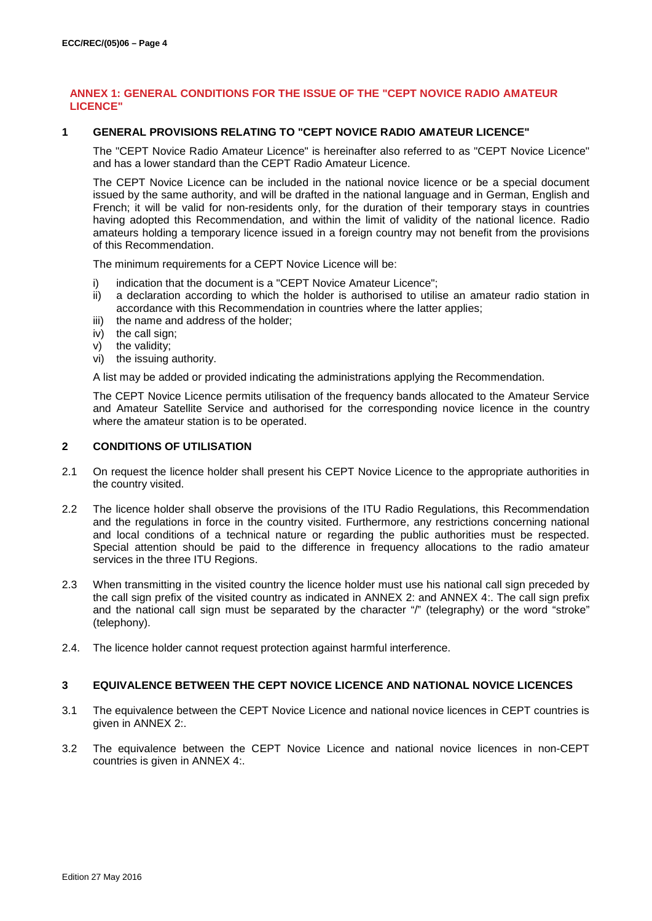## <span id="page-3-0"></span>**ANNEX 1: GENERAL CONDITIONS FOR THE ISSUE OF THE "CEPT NOVICE RADIO AMATEUR LICENCE"**

### **1 GENERAL PROVISIONS RELATING TO "CEPT NOVICE RADIO AMATEUR LICENCE"**

The "CEPT Novice Radio Amateur Licence" is hereinafter also referred to as "CEPT Novice Licence" and has a lower standard than the CEPT Radio Amateur Licence.

The CEPT Novice Licence can be included in the national novice licence or be a special document issued by the same authority, and will be drafted in the national language and in German, English and French; it will be valid for non-residents only, for the duration of their temporary stays in countries having adopted this Recommendation, and within the limit of validity of the national licence. Radio amateurs holding a temporary licence issued in a foreign country may not benefit from the provisions of this Recommendation.

The minimum requirements for a CEPT Novice Licence will be:

- i) indication that the document is a "CEPT Novice Amateur Licence";
- ii) a declaration according to which the holder is authorised to utilise an amateur radio station in accordance with this Recommendation in countries where the latter applies;
- iii) the name and address of the holder;
- iv) the call sign;
- v) the validity;
- vi) the issuing authority.

A list may be added or provided indicating the administrations applying the Recommendation.

The CEPT Novice Licence permits utilisation of the frequency bands allocated to the Amateur Service and Amateur Satellite Service and authorised for the corresponding novice licence in the country where the amateur station is to be operated.

### **2 CONDITIONS OF UTILISATION**

- 2.1 On request the licence holder shall present his CEPT Novice Licence to the appropriate authorities in the country visited.
- 2.2 The licence holder shall observe the provisions of the ITU Radio Regulations, this Recommendation and the regulations in force in the country visited. Furthermore, any restrictions concerning national and local conditions of a technical nature or regarding the public authorities must be respected. Special attention should be paid to the difference in frequency allocations to the radio amateur services in the three ITU Regions.
- 2.3 When transmitting in the visited country the licence holder must use his national call sign preceded by the call sign prefix of the visited country as indicated in [ANNEX 2:](#page-4-0) and [ANNEX 4:.](#page-6-0) The call sign prefix and the national call sign must be separated by the character "/" (telegraphy) or the word "stroke" (telephony).
- 2.4. The licence holder cannot request protection against harmful interference.

#### **3 EQUIVALENCE BETWEEN THE CEPT NOVICE LICENCE AND NATIONAL NOVICE LICENCES**

- 3.1 The equivalence between the CEPT Novice Licence and national novice licences in CEPT countries is given in [ANNEX 2:.](#page-4-0)
- 3.2 The equivalence between the CEPT Novice Licence and national novice licences in non-CEPT countries is given in [ANNEX 4:.](#page-6-0)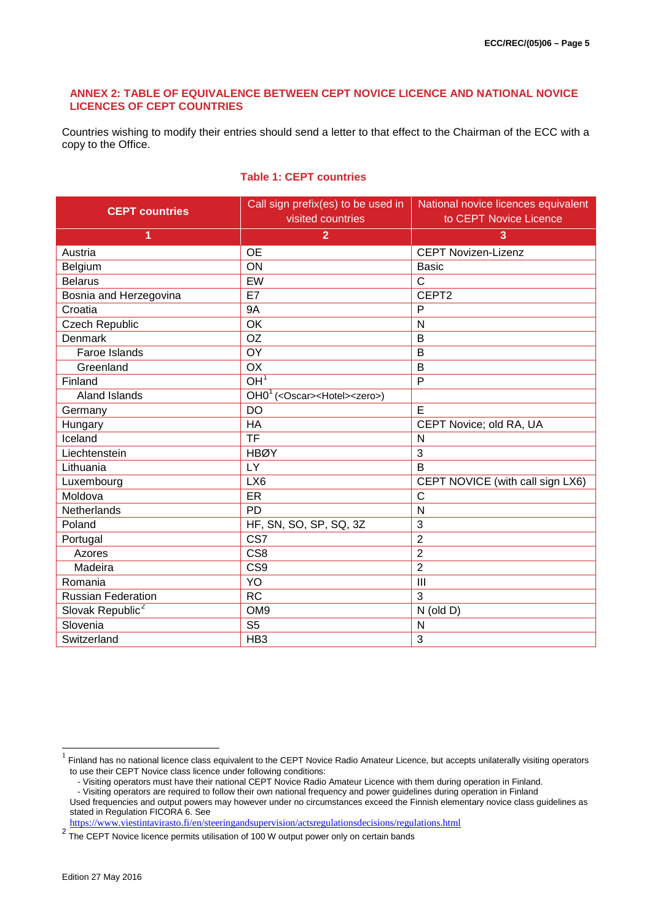### <span id="page-4-0"></span>**ANNEX 2: TABLE OF EQUIVALENCE BETWEEN CEPT NOVICE LICENCE AND NATIONAL NOVICE LICENCES OF CEPT COUNTRIES**

Countries wishing to modify their entries should send a letter to that effect to the Chairman of the ECC with a copy to the Office.

<span id="page-4-1"></span>

|  |  |  | <b>Table 1: CEPT countries</b> |
|--|--|--|--------------------------------|
|--|--|--|--------------------------------|

| <b>CEPT countries</b>        | Call sign prefix(es) to be used in<br>visited countries           | National novice licences equivalent<br>to CEPT Novice Licence |
|------------------------------|-------------------------------------------------------------------|---------------------------------------------------------------|
| 1                            | $\overline{2}$                                                    | 3                                                             |
| Austria                      | <b>OE</b>                                                         | <b>CEPT Novizen-Lizenz</b>                                    |
| Belgium                      | ON                                                                | <b>Basic</b>                                                  |
| <b>Belarus</b>               | EW                                                                | $\mathsf{C}$                                                  |
| Bosnia and Herzegovina       | E7                                                                | CEPT2                                                         |
| Croatia                      | <b>9A</b>                                                         | P                                                             |
| Czech Republic               | OK                                                                | N                                                             |
| <b>Denmark</b>               | <b>OZ</b>                                                         | B                                                             |
| Faroe Islands                | OY                                                                | B                                                             |
| Greenland                    | OX                                                                | B                                                             |
| Finland                      | OH <sup>1</sup>                                                   | P                                                             |
| Aland Islands                | $\overline{OH0}^1$ ( <oscar><hotel><zero>)</zero></hotel></oscar> |                                                               |
| Germany                      | <b>DO</b>                                                         | E                                                             |
| Hungary                      | HA                                                                | CEPT Novice; old RA, UA                                       |
| Iceland                      | <b>TF</b>                                                         | N                                                             |
| Liechtenstein                | <b>HBØY</b>                                                       | 3                                                             |
| Lithuania                    | LY                                                                | B                                                             |
| Luxembourg                   | LX6                                                               | CEPT NOVICE (with call sign LX6)                              |
| Moldova                      | ER                                                                | C                                                             |
| <b>Netherlands</b>           | <b>PD</b>                                                         | N                                                             |
| Poland                       | HF, SN, SO, SP, SQ, 3Z                                            | 3                                                             |
| Portugal                     | CS7                                                               | $\overline{2}$                                                |
| Azores                       | CS <sub>8</sub>                                                   | $\overline{2}$                                                |
| Madeira                      | CS <sub>9</sub>                                                   | $\overline{2}$                                                |
| Romania                      | YO                                                                | III                                                           |
| <b>Russian Federation</b>    | <b>RC</b>                                                         | 3                                                             |
| Slovak Republic <sup>2</sup> | OM <sub>9</sub>                                                   | $N$ (old $D$ )                                                |
| Slovenia                     | S <sub>5</sub>                                                    | N                                                             |
| Switzerland                  | HB <sub>3</sub>                                                   | 3                                                             |

- Visiting operators must have their national CEPT Novice Radio Amateur Licence with them during operation in Finland.

<https://www.viestintavirasto.fi/en/steeringandsupervision/actsregulationsdecisions/regulations.html>

<span id="page-4-2"></span> $1$  Finland has no national licence class equivalent to the CEPT Novice Radio Amateur Licence, but accepts unilaterally visiting operators to use their CEPT Novice class licence under following conditions:

<sup>-</sup> Visiting operators are required to follow their own national frequency and power guidelines during operation in Finland Used frequencies and output powers may however under no circumstances exceed the Finnish elementary novice class guidelines as stated in Regulation FICORA 6. See

<span id="page-4-3"></span><sup>&</sup>lt;sup>2</sup> The CEPT Novice licence permits utilisation of 100 W output power only on certain bands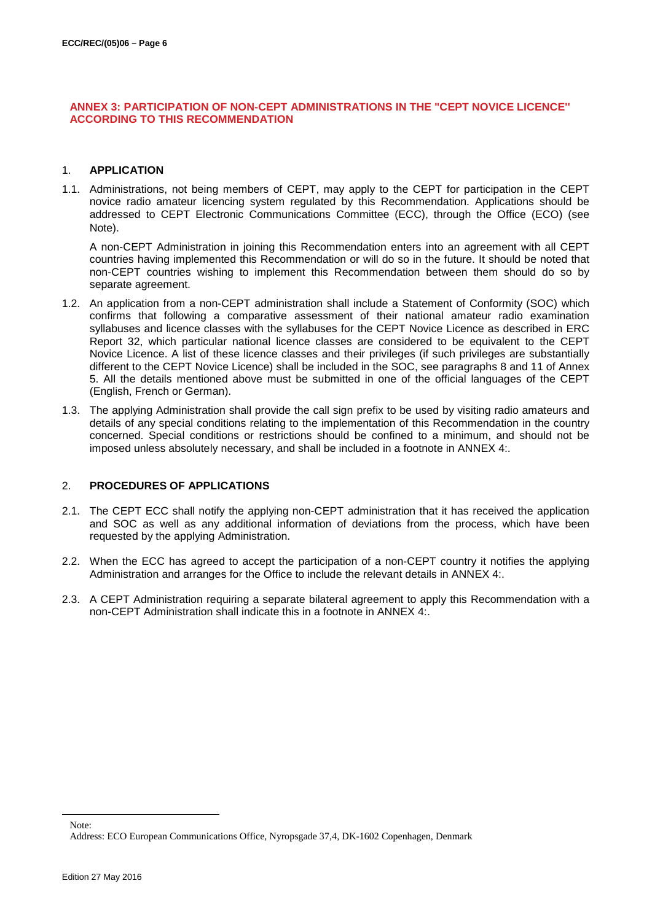## <span id="page-5-0"></span>**ANNEX 3: PARTICIPATION OF NON-CEPT ADMINISTRATIONS IN THE "CEPT NOVICE LICENCE'' ACCORDING TO THIS RECOMMENDATION**

## 1. **APPLICATION**

1.1. Administrations, not being members of CEPT, may apply to the CEPT for participation in the CEPT novice radio amateur licencing system regulated by this Recommendation. Applications should be addre[s](#page-5-1)sed to CEPT Electronic Communications Committee (ECC), through the Office (ECO) (see Note).

A non-CEPT Administration in joining this Recommendation enters into an agreement with all CEPT countries having implemented this Recommendation or will do so in the future. It should be noted that non-CEPT countries wishing to implement this Recommendation between them should do so by separate agreement.

- 1.2. An application from a non-CEPT administration shall include a Statement of Conformity (SOC) which confirms that following a comparative assessment of their national amateur radio examination syllabuses and licence classes with the syllabuses for the CEPT Novice Licence as described in ERC Report 32, which particular national licence classes are considered to be equivalent to the CEPT Novice Licence. A list of these licence classes and their privileges (if such privileges are substantially different to the CEPT Novice Licence) shall be included in the SOC, see paragraphs 8 and 11 of Annex 5. All the details mentioned above must be submitted in one of the official languages of the CEPT (English, French or German).
- 1.3. The applying Administration shall provide the call sign prefix to be used by visiting radio amateurs and details of any special conditions relating to the implementation of this Recommendation in the country concerned. Special conditions or restrictions should be confined to a minimum, and should not be imposed unless absolutely necessary, and shall be included in a footnote in [ANNEX 4:.](#page-6-0)

## 2. **PROCEDURES OF APPLICATIONS**

- 2.1. The CEPT ECC shall notify the applying non-CEPT administration that it has received the application and SOC as well as any additional information of deviations from the process, which have been requested by the applying Administration.
- 2.2. When the ECC has agreed to accept the participation of a non-CEPT country it notifies the applying Administration and arranges for the Office to include the relevant details in [ANNEX 4:.](#page-6-0)
- 2.3. A CEPT Administration requiring a separate bilateral agreement to apply this Recommendation with a non-CEPT Administration shall indicate this in a footnote in [ANNEX 4:.](#page-6-0)

<span id="page-5-1"></span>-

Note:

Address: ECO European Communications Office, Nyropsgade 37,4, DK-1602 Copenhagen, Denmark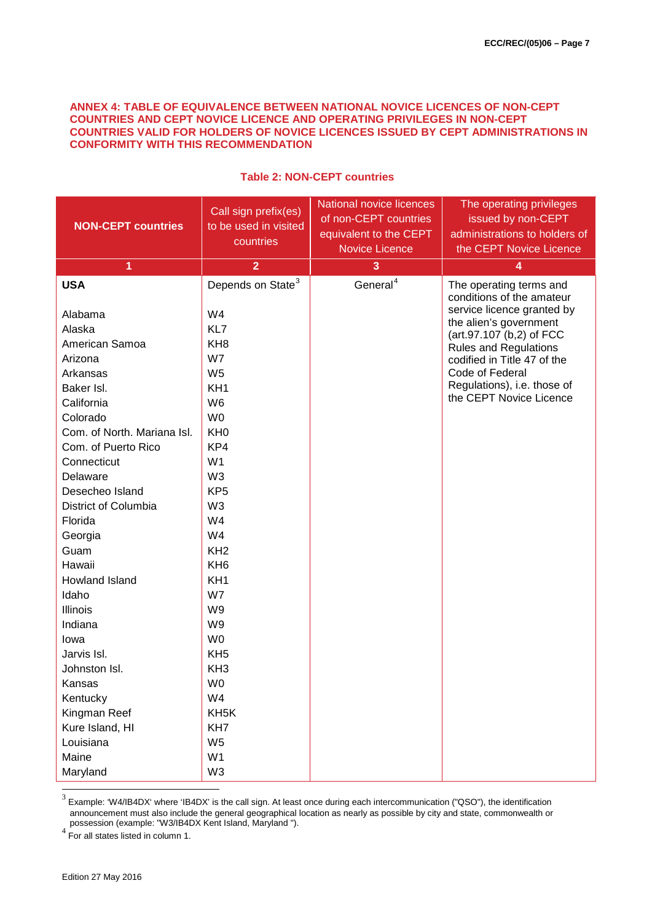### <span id="page-6-0"></span>**ANNEX 4: TABLE OF EQUIVALENCE BETWEEN NATIONAL NOVICE LICENCES OF NON-CEPT COUNTRIES AND CEPT NOVICE LICENCE AND OPERATING PRIVILEGES IN NON-CEPT COUNTRIES VALID FOR HOLDERS OF NOVICE LICENCES ISSUED BY CEPT ADMINISTRATIONS IN CONFORMITY WITH THIS RECOMMENDATION**

| <b>NON-CEPT countries</b>                                                                                                                                                                                                                                                                                                                                     | Call sign prefix(es)<br>to be used in visited<br>countries                                                                                                                                                                                                                                                                                                                        | National novice licences<br>of non-CEPT countries<br>equivalent to the CEPT<br><b>Novice Licence</b> | The operating privileges<br>issued by non-CEPT<br>administrations to holders of<br>the CEPT Novice Licence                                                                                                                                                                           |
|---------------------------------------------------------------------------------------------------------------------------------------------------------------------------------------------------------------------------------------------------------------------------------------------------------------------------------------------------------------|-----------------------------------------------------------------------------------------------------------------------------------------------------------------------------------------------------------------------------------------------------------------------------------------------------------------------------------------------------------------------------------|------------------------------------------------------------------------------------------------------|--------------------------------------------------------------------------------------------------------------------------------------------------------------------------------------------------------------------------------------------------------------------------------------|
| 1                                                                                                                                                                                                                                                                                                                                                             |                                                                                                                                                                                                                                                                                                                                                                                   |                                                                                                      | 4                                                                                                                                                                                                                                                                                    |
| <b>USA</b><br>Alabama<br>Alaska<br>American Samoa<br>Arizona<br>Arkansas<br>Baker Isl.<br>California<br>Colorado<br>Com. of North. Mariana Isl.<br>Com. of Puerto Rico<br>Connecticut<br>Delaware<br>Desecheo Island<br>District of Columbia<br>Florida<br>Georgia<br>Guam<br>Hawaii<br>Howland Island<br>Idaho<br>Illinois<br>Indiana<br>lowa<br>Jarvis Isl. | $\overline{2}$<br>Depends on State <sup>3</sup><br>W4<br>KL7<br>KH <sub>8</sub><br>W7<br>W <sub>5</sub><br>KH <sub>1</sub><br>W <sub>6</sub><br>W <sub>0</sub><br>KH <sub>0</sub><br>KP4<br>W <sub>1</sub><br>W <sub>3</sub><br>KP <sub>5</sub><br>W <sub>3</sub><br>W4<br>W4<br>KH <sub>2</sub><br>KH <sub>6</sub><br>KH <sub>1</sub><br>W7<br>W9<br>W9<br>W0<br>KH <sub>5</sub> | 3<br>General <sup>4</sup>                                                                            | The operating terms and<br>conditions of the amateur<br>service licence granted by<br>the alien's government<br>(art.97.107 (b,2) of FCC<br><b>Rules and Regulations</b><br>codified in Title 47 of the<br>Code of Federal<br>Regulations), i.e. those of<br>the CEPT Novice Licence |
| Johnston Isl.                                                                                                                                                                                                                                                                                                                                                 | KH <sub>3</sub>                                                                                                                                                                                                                                                                                                                                                                   |                                                                                                      |                                                                                                                                                                                                                                                                                      |
| Kansas                                                                                                                                                                                                                                                                                                                                                        | W <sub>0</sub>                                                                                                                                                                                                                                                                                                                                                                    |                                                                                                      |                                                                                                                                                                                                                                                                                      |
| Kentucky                                                                                                                                                                                                                                                                                                                                                      | W4                                                                                                                                                                                                                                                                                                                                                                                |                                                                                                      |                                                                                                                                                                                                                                                                                      |
| Kingman Reef                                                                                                                                                                                                                                                                                                                                                  | KH <sub>5</sub> K                                                                                                                                                                                                                                                                                                                                                                 |                                                                                                      |                                                                                                                                                                                                                                                                                      |
| Kure Island, HI                                                                                                                                                                                                                                                                                                                                               | KH7                                                                                                                                                                                                                                                                                                                                                                               |                                                                                                      |                                                                                                                                                                                                                                                                                      |
| Louisiana                                                                                                                                                                                                                                                                                                                                                     | W <sub>5</sub>                                                                                                                                                                                                                                                                                                                                                                    |                                                                                                      |                                                                                                                                                                                                                                                                                      |
| Maine                                                                                                                                                                                                                                                                                                                                                         | W <sub>1</sub>                                                                                                                                                                                                                                                                                                                                                                    |                                                                                                      |                                                                                                                                                                                                                                                                                      |
| Maryland                                                                                                                                                                                                                                                                                                                                                      | W <sub>3</sub>                                                                                                                                                                                                                                                                                                                                                                    |                                                                                                      |                                                                                                                                                                                                                                                                                      |

# **Table 2: NON-CEPT countries**

<span id="page-6-1"></span> $3$  Example: 'W4/IB4DX' where 'IB4DX' is the call sign. At least once during each intercommunication ("QSO"), the identification announcement must also include the general geographical location as nearly as possible by city and state, commonwealth or

<span id="page-6-2"></span>possession (example:  $\frac{1}{2}$  For all states listed in column 1.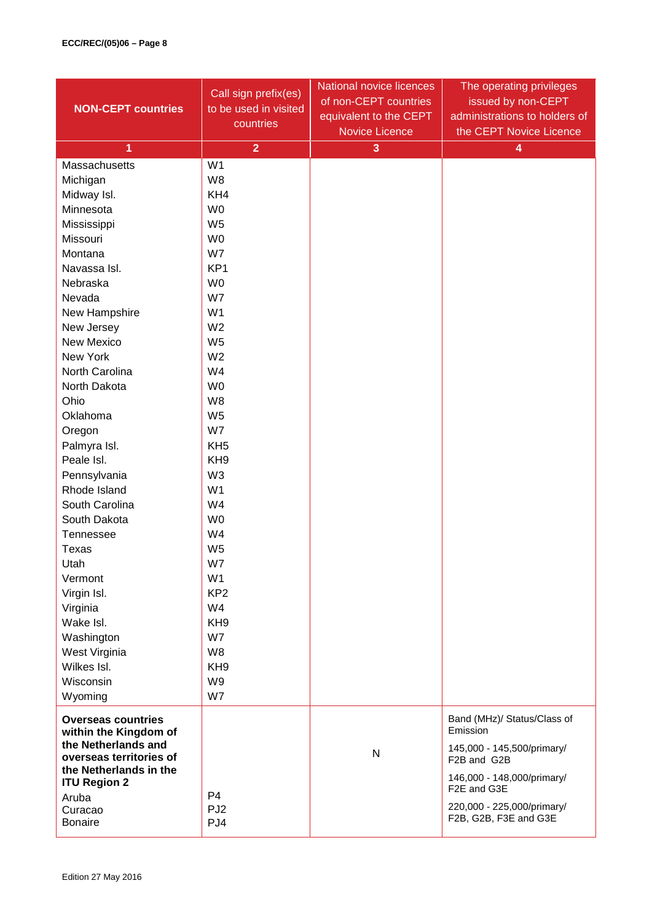| <b>NON-CEPT countries</b>                          | Call sign prefix(es)<br>to be used in visited<br>countries | National novice licences<br>of non-CEPT countries<br>equivalent to the CEPT<br><b>Novice Licence</b> | The operating privileges<br>issued by non-CEPT<br>administrations to holders of<br>the CEPT Novice Licence |
|----------------------------------------------------|------------------------------------------------------------|------------------------------------------------------------------------------------------------------|------------------------------------------------------------------------------------------------------------|
| 1                                                  | $\overline{2}$                                             | 3                                                                                                    | 4                                                                                                          |
| Massachusetts                                      | W <sub>1</sub>                                             |                                                                                                      |                                                                                                            |
| Michigan                                           | W8                                                         |                                                                                                      |                                                                                                            |
| Midway Isl.                                        | KH4                                                        |                                                                                                      |                                                                                                            |
| Minnesota                                          | W <sub>0</sub>                                             |                                                                                                      |                                                                                                            |
| Mississippi                                        | W <sub>5</sub>                                             |                                                                                                      |                                                                                                            |
| Missouri                                           | W <sub>0</sub>                                             |                                                                                                      |                                                                                                            |
| Montana                                            | W7                                                         |                                                                                                      |                                                                                                            |
| Navassa Isl.                                       | KP <sub>1</sub>                                            |                                                                                                      |                                                                                                            |
| Nebraska                                           | W <sub>0</sub>                                             |                                                                                                      |                                                                                                            |
| Nevada                                             | W7                                                         |                                                                                                      |                                                                                                            |
| New Hampshire                                      | W <sub>1</sub>                                             |                                                                                                      |                                                                                                            |
| New Jersey                                         | W <sub>2</sub>                                             |                                                                                                      |                                                                                                            |
| <b>New Mexico</b>                                  | W <sub>5</sub>                                             |                                                                                                      |                                                                                                            |
| New York                                           | W <sub>2</sub>                                             |                                                                                                      |                                                                                                            |
| North Carolina                                     | W4                                                         |                                                                                                      |                                                                                                            |
| North Dakota                                       | W <sub>0</sub>                                             |                                                                                                      |                                                                                                            |
| Ohio                                               | W <sub>8</sub>                                             |                                                                                                      |                                                                                                            |
| Oklahoma                                           | W <sub>5</sub>                                             |                                                                                                      |                                                                                                            |
| Oregon                                             | W7                                                         |                                                                                                      |                                                                                                            |
| Palmyra Isl.                                       | KH <sub>5</sub>                                            |                                                                                                      |                                                                                                            |
| Peale Isl.                                         | KH <sub>9</sub>                                            |                                                                                                      |                                                                                                            |
| Pennsylvania                                       | W <sub>3</sub>                                             |                                                                                                      |                                                                                                            |
| Rhode Island                                       | W <sub>1</sub>                                             |                                                                                                      |                                                                                                            |
| South Carolina                                     | W4                                                         |                                                                                                      |                                                                                                            |
| South Dakota                                       | W <sub>0</sub>                                             |                                                                                                      |                                                                                                            |
| Tennessee                                          | W4                                                         |                                                                                                      |                                                                                                            |
| Texas                                              | W <sub>5</sub>                                             |                                                                                                      |                                                                                                            |
| Utah                                               | W7                                                         |                                                                                                      |                                                                                                            |
| Vermont                                            | W <sub>1</sub>                                             |                                                                                                      |                                                                                                            |
| Virgin Isl.                                        | KP <sub>2</sub>                                            |                                                                                                      |                                                                                                            |
| Virginia                                           | W4                                                         |                                                                                                      |                                                                                                            |
| Wake Isl.                                          | KH <sub>9</sub>                                            |                                                                                                      |                                                                                                            |
| Washington                                         | W7                                                         |                                                                                                      |                                                                                                            |
| West Virginia                                      | W8                                                         |                                                                                                      |                                                                                                            |
| Wilkes Isl.                                        | KH <sub>9</sub>                                            |                                                                                                      |                                                                                                            |
| Wisconsin                                          | W9                                                         |                                                                                                      |                                                                                                            |
| Wyoming                                            | W7                                                         |                                                                                                      |                                                                                                            |
| <b>Overseas countries</b><br>within the Kingdom of |                                                            |                                                                                                      | Band (MHz)/ Status/Class of<br>Emission                                                                    |
| the Netherlands and<br>overseas territories of     |                                                            | N                                                                                                    | 145,000 - 145,500/primary/<br>F2B and G2B                                                                  |
| the Netherlands in the<br><b>ITU Region 2</b>      |                                                            |                                                                                                      | 146,000 - 148,000/primary/                                                                                 |
| Aruba                                              | P4                                                         |                                                                                                      | F2E and G3E                                                                                                |
| Curacao<br><b>Bonaire</b>                          | PJ <sub>2</sub><br>PJ4                                     |                                                                                                      | 220,000 - 225,000/primary/<br>F2B, G2B, F3E and G3E                                                        |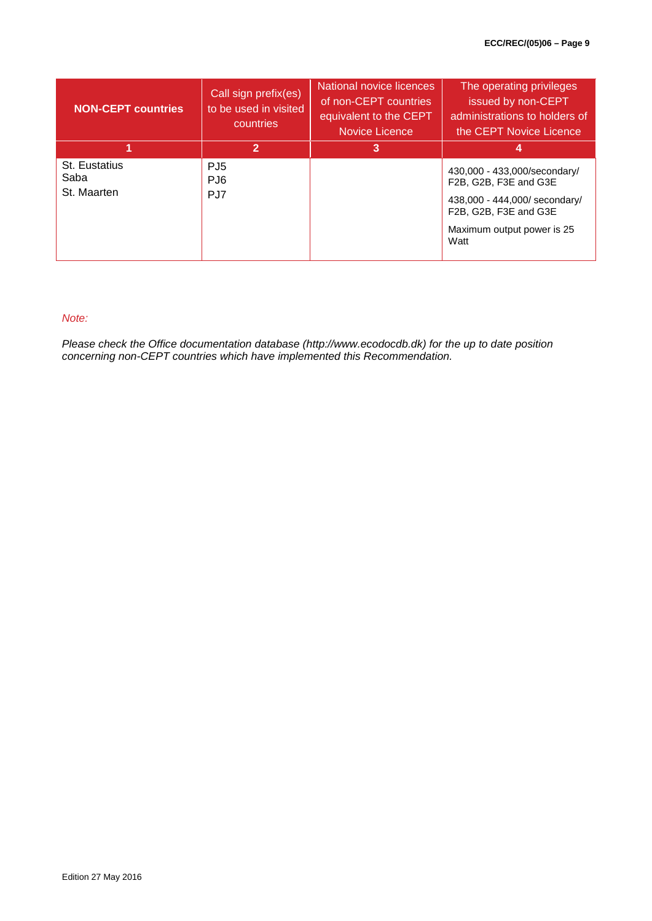| <b>NON-CEPT countries</b>            | Call sign prefix(es)<br>to be used in visited<br>countries | National novice licences<br>of non-CEPT countries<br>equivalent to the CEPT<br>Novice Licence | The operating privileges<br>issued by non-CEPT<br>administrations to holders of<br>the CEPT Novice Licence                                            |
|--------------------------------------|------------------------------------------------------------|-----------------------------------------------------------------------------------------------|-------------------------------------------------------------------------------------------------------------------------------------------------------|
|                                      | 2                                                          | 3                                                                                             | 4                                                                                                                                                     |
| St. Eustatius<br>Saba<br>St. Maarten | PJ <sub>5</sub><br>PJ <sub>6</sub><br>PJ7                  |                                                                                               | 430,000 - 433,000/secondary/<br>F2B, G2B, F3E and G3E<br>438,000 - 444,000/ secondary/<br>F2B, G2B, F3E and G3E<br>Maximum output power is 25<br>Watt |

# *Note:*

*Please check the Office documentation database (http://www.ecodocdb.dk) for the up to date position concerning non-CEPT countries which have implemented this Recommendation.*